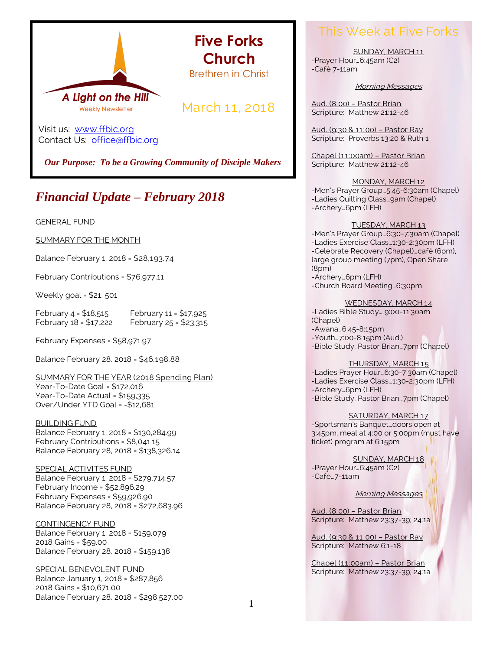

**Five Forks Church** Brethren in Christ

March 11, 2018

Visit us: [www.ffbic.org](http://www.ffbic.org/) Contact Us: [office@ffbic.org](mailto:office@ffbic.org)

*Our Purpose: To be a Growing Community of Disciple Makers*

# *Financial Update – February 2018*

GENERAL FUND

SUMMARY FOR THE MONTH

Balance February 1, 2018 = \$28,193.74

February Contributions = \$76,977.11

Weekly goal = \$21, 501

February  $4 = $18,515$  February  $11 = $17,925$ February 18 = \$17,222 February 25 = \$23,315

February Expenses = \$58,971.97

Balance February 28, 2018 = \$46,198.88

SUMMARY FOR THE YEAR (2018 Spending Plan) Year-To-Date Goal = \$172,016 Year-To-Date Actual = \$159,335 Over/Under YTD Goal = -\$12,681

BUILDING FUND Balance February 1, 2018 = \$130,284.99 February Contributions = \$8,041.15 Balance February 28, 2018 = \$138,326.14

SPECIAL ACTIVITES FUND Balance February 1, 2018 = \$279,714.57 February Income = \$52,896.29 February Expenses = \$59,926.90 Balance February 28, 2018 = \$272,683.96

CONTINGENCY FUND Balance February 1, 2018 = \$159,079 2018 Gains = \$59.00 Balance February 28, 2018 = \$159,138

SPECIAL BENEVOLENT FUND Balance January 1, 2018 = \$287,856 2018 Gains = \$10,671.00 Balance February 28, 2018 = \$298,527.00

## This Week at Five Forks

SUNDAY, MARCH 11 -Prayer Hour…6:45am (C2) -Café 7-11am

Morning Messages

Aud. (8:00) – Pastor Brian Scripture: Matthew 21:12-46

Aud. (9:30 & 11:00) – Pastor Ray Scripture: Proverbs 13:20 & Ruth 1

Chapel (11:00am) – Pastor Brian Scripture: Matthew 21:12-46

MONDAY, MARCH 12 -Men's Prayer Group…5:45-6:30am (Chapel) -Ladies Quilting Class…9am (Chapel) -Archery…6pm (LFH)

#### TUESDAY, MARCH 13

-Men's Prayer Group…6:30-7:30am (Chapel) -Ladies Exercise Class…1:30-2:30pm (LFH) -Celebrate Recovery (Chapel)…café (6pm), large group meeting (7pm), Open Share (8pm) -Archery…6pm (LFH)

-Church Board Meeting…6:30pm

WEDNESDAY, MARCH 14

-Ladies Bible Study… 9:00-11:30am (Chapel) -Awana…6:45-8:15pm -Youth…7:00-8:15pm (Aud.)

-Bible Study, Pastor Brian…7pm (Chapel)

#### THURSDAY, MARCH 15

-Ladies Prayer Hour…6:30-7:30am (Chapel) -Ladies Exercise Class…1:30-2:30pm (LFH) -Archery…6pm (LFH) -Bible Study, Pastor Brian…7pm (Chapel)

SATURDAY, MARCH 17

-Sportsman's Banquet…doors open at 3:45pm, meal at 4:00 or 5:00pm (must have ticket) program at 6:15pm

SUNDAY, MARCH 18 -Prayer Hour…6:45am (C2) -Café…7-11am

Morning Messages

Aud. (8:00) – Pastor Brian Scripture: Matthew 23:37-39; 24:1a

Aud. (9:30 & 11:00) – Pastor Ray Scripture: Matthew 6:1-18

Chapel (11:00am) – Pastor Brian Scripture: Matthew 23:37-39; 24:1a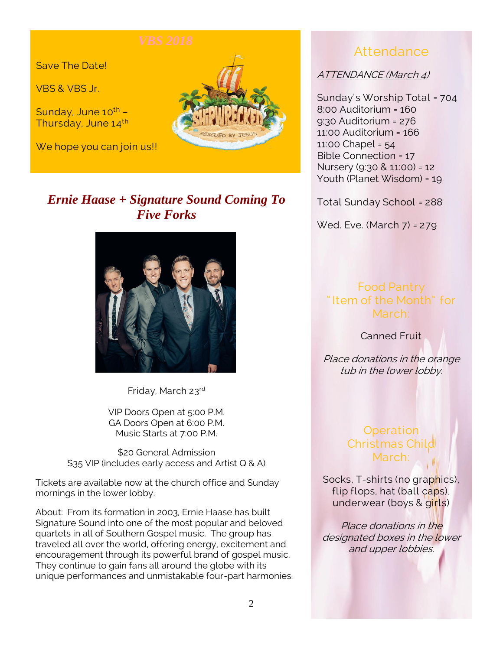Save The Date!

VBS & VBS Jr.

Sunday, June  $10^{th}$  -Thursday, June 14th

We hope you can join us!!



# *Ernie Haase + Signature Sound Coming To Five Forks*



Friday, March 23rd

VIP Doors Open at 5:00 P.M. GA Doors Open at 6:00 P.M. Music Starts at 7:00 P.M.

\$20 General Admission \$35 VIP (includes early access and Artist Q & A)

Tickets are available now at the church office and Sunday mornings in the lower lobby.

About: From its formation in 2003, Ernie Haase has built Signature Sound into one of the most popular and beloved quartets in all of Southern Gospel music. The group has traveled all over the world, offering energy, excitement and encouragement through its powerful brand of gospel music. They continue to gain fans all around the globe with its unique performances and unmistakable four-part harmonies.

## Attendance

ATTENDANCE (March 4)

Sunday's Worship Total = 704 8:00 Auditorium = 160 9:30 Auditorium = 276 11:00 Auditorium = 166 11:00 Chapel = 54 Bible Connection = 17 Nursery (9:30 & 11:00) = 12 Youth (Planet Wisdom) = 19

Total Sunday School = 288

Wed. Eve. (March 7) = 279

#### Food Pantry " Item of the Month" for March:

Canned Fruit

Place donations in the orange tub in the lower lobby.

## **Operation** Christmas Child March:

Socks, T-shirts (no graphics), flip flops, hat (ball caps), underwear (boys & girls)

Place donations in the designated boxes in the lower and upper lobbies.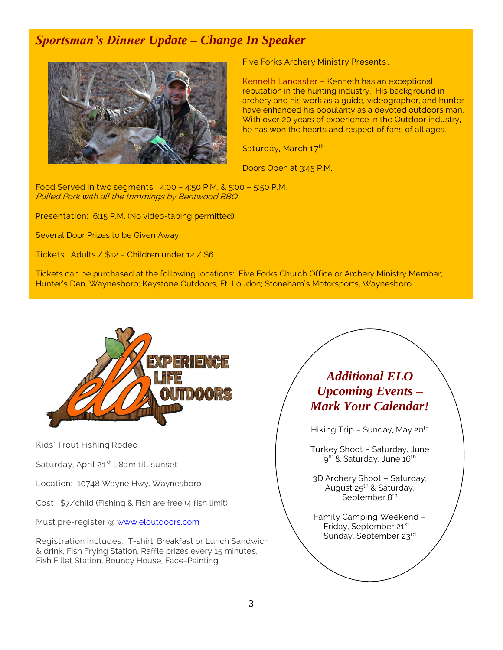# *Sportsman's Dinner Update – Change In Speaker*



Five Forks Archery Ministry Presents…

Kenneth Lancaster – Kenneth has an exceptional reputation in the hunting industry. His background in archery and his work as a guide, videographer, and hunter have enhanced his popularity as a devoted outdoors man. With over 20 years of experience in the Outdoor industry, he has won the hearts and respect of fans of all ages.

Saturday, March 17th

Doors Open at 3:45 P.M.

Food Served in two segments: 4:00 – 4:50 P.M. & 5:00 – 5:50 P.M. Pulled Pork with all the trimmings by Bentwood BBQ

Presentation: 6:15 P.M. (No video-taping permitted)

Several Door Prizes to be Given Away

Tickets: Adults / \$12 – Children under 12 / \$6

Tickets can be purchased at the following locations: Five Forks Church Office or Archery Ministry Member; Hunter's Den, Waynesboro; Keystone Outdoors, Ft. Loudon; Stoneham's Motorsports, Waynesboro



Kids' Trout Fishing Rodeo

Saturday, April 21<sup>st</sup> ... 8am till sunset

Location: 10748 Wayne Hwy. Waynesboro

Cost: \$7/child (Fishing & Fish are free (4 fish limit)

Must pre-register @ [www.eloutdoors.com](http://www.eloutdoors.com/)

Registration includes: T-shirt, Breakfast or Lunch Sandwich & drink, Fish Frying Station, Raffle prizes every 15 minutes, Fish Fillet Station, Bouncy House, Face-Painting

# *Additional ELO Upcoming Events – Mark Your Calendar!*

Hiking Trip - Sunday, May 20<sup>th</sup>

Turkey Shoot – Saturday, June 9<sup>th</sup> & Saturday, June 16<sup>th</sup>

3D Archery Shoot – Saturday, August 25<sup>th</sup> & Saturday, September 8<sup>th</sup>

Family Camping Weekend – Friday, September 21<sup>st</sup> -Sunday, September 23rd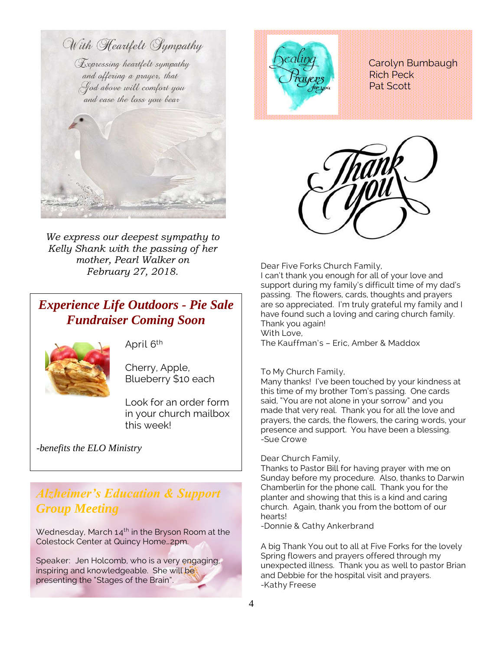

*We express our deepest sympathy to Kelly Shank with the passing of her mother, Pearl Walker on February 27, 2018.* Dear Five Forks Church Family,

# *Experience Life Outdoors - Pie Sale Fundraiser Coming Soon*



April 6th

Cherry, Apple, Blueberry \$10 each

Look for an order form in your church mailbox this week!

*-benefits the ELO Ministry*

## *Alzheimer's Education & Support Group Meeting*

Wednesday, March  $14<sup>th</sup>$  in the Bryson Room at the Colestock Center at Quincy Home…2pm.

Speaker: Jen Holcomb, who is a very engaging, inspiring and knowledgeable. She will be presenting the "Stages of the Brain".



 Carolyn Bumbaugh Rich Peck Pat Scott



I can't thank you enough for all of your love and support during my family's difficult time of my dad's passing. The flowers, cards, thoughts and prayers are so appreciated. I'm truly grateful my family and I have found such a loving and caring church family. Thank you again! With Love,

The Kauffman's – Eric, Amber & Maddox

#### To My Church Family,

Many thanks! I've been touched by your kindness at this time of my brother Tom's passing. One cards said, "You are not alone in your sorrow" and you made that very real. Thank you for all the love and prayers, the cards, the flowers, the caring words, your presence and support. You have been a blessing. -Sue Crowe

#### Dear Church Family,

Thanks to Pastor Bill for having prayer with me on Sunday before my procedure. Also, thanks to Darwin Chamberlin for the phone call. Thank you for the planter and showing that this is a kind and caring church. Again, thank you from the bottom of our hearts!

-Donnie & Cathy Ankerbrand

A big Thank You out to all at Five Forks for the lovely Spring flowers and prayers offered through my unexpected illness. Thank you as well to pastor Brian and Debbie for the hospital visit and prayers. -Kathy Freese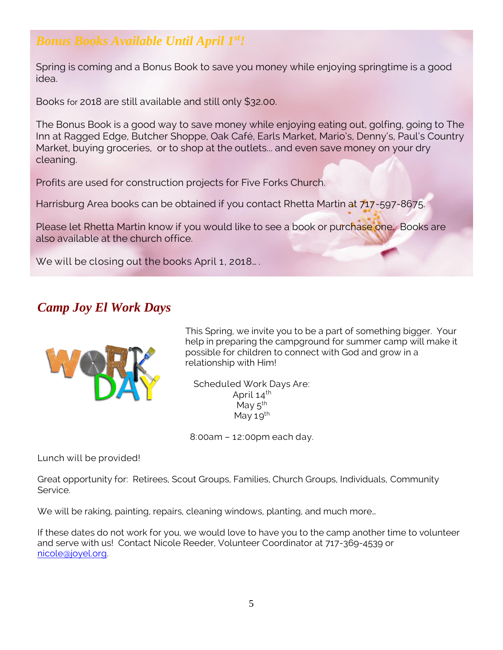# *Bonus Books Available Until April 1st!*

Spring is coming and a Bonus Book to save you money while enjoying springtime is a good idea.

Books for 2018 are still available and still only \$32.00.

The Bonus Book is a good way to save money while enjoying eating out, golfing, going to The Inn at Ragged Edge, Butcher Shoppe, Oak Café, Earls Market, Mario's, Denny's, Paul's Country Market, buying groceries, or to shop at the outlets... and even save money on your dry cleaning.

Profits are used for construction projects for Five Forks Church.

Harrisburg Area books can be obtained if you contact Rhetta Martin at 717-597-8675.

Please let Rhetta Martin know if you would like to see a book or purchase one. Books are also available at the church office.

We will be closing out the books April 1, 2018...

### *Camp Joy El Work Days*



This Spring, we invite you to be a part of something bigger. Your help in preparing the campground for summer camp will make it possible for children to connect with God and grow in a relationship with Him!

Scheduled Work Days Are: April  $14^{th}$ May  $5^{\text{th}}$ May 19<sup>th</sup>

8:00am – 12:00pm each day.

Lunch will be provided!

Great opportunity for: Retirees, Scout Groups, Families, Church Groups, Individuals, Community Service.

We will be raking, painting, repairs, cleaning windows, planting, and much more...

If these dates do not work for you, we would love to have you to the camp another time to volunteer and serve with us! Contact Nicole Reeder, Volunteer Coordinator at 717-369-4539 or [nicole@joyel.org.](mailto:nicole@joyel.org)